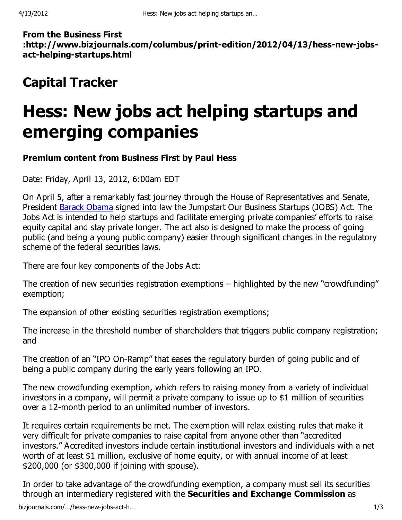From the Business First :http://www.bizjournals.com/columbus/print-edition/2012/04/13/hess-new-jobsact-helping-startups.html

## Capital Tracker

## Hess: New jobs act helping startups and emerging companies

## Premium content from Business First by Paul Hess

Date: Friday, April 13, 2012, 6:00am EDT

On April 5, after a remarkably fast journey through the House of Representatives and Senate, President Barack Obama signed into law the Jumpstart Our Business Startups (JOBS) Act. The Jobs Act is intended to help startups and facilitate emerging private companies' efforts to raise equity capital and stay private longer. The act also is designed to make the process of going public (and being a young public company) easier through significant changes in the regulatory scheme of the federal securities laws.

There are four key components of the Jobs Act:

The creation of new securities registration exemptions – highlighted by the new "crowdfunding" exemption;

The expansion of other existing securities registration exemptions;

The increase in the threshold number of shareholders that triggers public company registration; and

The creation of an "IPO On-Ramp" that eases the regulatory burden of going public and of being a public company during the early years following an IPO.

The new crowdfunding exemption, which refers to raising money from a variety of individual investors in a company, will permit a private company to issue up to \$1 million of securities over a 12-month period to an unlimited number of investors.

It requires certain requirements be met. The exemption will relax existing rules that make it very difficult for private companies to raise capital from anyone other than "accredited investors." Accredited investors include certain institutional investors and individuals with a net worth of at least \$1 million, exclusive of home equity, or with annual income of at least \$200,000 (or \$300,000 if joining with spouse).

In order to take advantage of the crowdfunding exemption, a company must sell its securities through an intermediary registered with the Securities and Exchange Commission as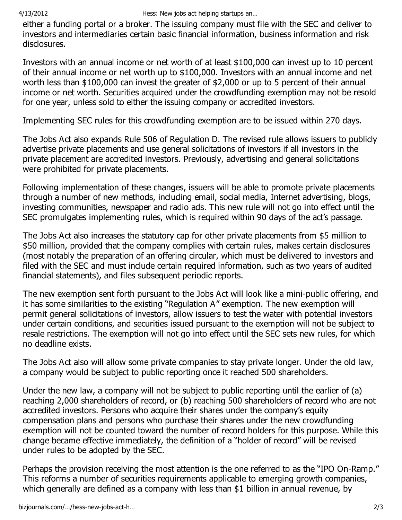either a funding portal or a broker. The issuing company must file with the SEC and deliver to investors and intermediaries certain basic financial information, business information and risk disclosures.

Investors with an annual income or net worth of at least \$100,000 can invest up to 10 percent of their annual income or net worth up to \$100,000. Investors with an annual income and net worth less than \$100,000 can invest the greater of \$2,000 or up to 5 percent of their annual income or net worth. Securities acquired under the crowdfunding exemption may not be resold for one year, unless sold to either the issuing company or accredited investors.

Implementing SEC rules for this crowdfunding exemption are to be issued within 270 days.

The Jobs Act also expands Rule 506 of Regulation D. The revised rule allows issuers to publicly advertise private placements and use general solicitations of investors if all investors in the private placement are accredited investors. Previously, advertising and general solicitations were prohibited for private placements.

Following implementation of these changes, issuers will be able to promote private placements through a number of new methods, including email, social media, Internet advertising, blogs, investing communities, newspaper and radio ads. This new rule will not go into effect until the SEC promulgates implementing rules, which is required within 90 days of the act's passage.

The Jobs Act also increases the statutory cap for other private placements from \$5 million to \$50 million, provided that the company complies with certain rules, makes certain disclosures (most notably the preparation of an offering circular, which must be delivered to investors and filed with the SEC and must include certain required information, such as two years of audited financial statements), and files subsequent periodic reports.

The new exemption sent forth pursuant to the Jobs Act will look like a mini-public offering, and it has some similarities to the existing "Regulation A" exemption. The new exemption will permit general solicitations of investors, allow issuers to test the water with potential investors under certain conditions, and securities issued pursuant to the exemption will not be subject to resale restrictions. The exemption will not go into effect until the SEC sets new rules, for which no deadline exists.

The Jobs Act also will allow some private companies to stay private longer. Under the old law, a company would be subject to public reporting once it reached 500 shareholders.

Under the new law, a company will not be subject to public reporting until the earlier of (a) reaching 2,000 shareholders of record, or (b) reaching 500 shareholders of record who are not accredited investors. Persons who acquire their shares under the company's equity compensation plans and persons who purchase their shares under the new crowdfunding exemption will not be counted toward the number of record holders for this purpose. While this change became effective immediately, the definition of a "holder of record" will be revised under rules to be adopted by the SEC.

Perhaps the provision receiving the most attention is the one referred to as the "IPO On-Ramp." This reforms a number of securities requirements applicable to emerging growth companies, which generally are defined as a company with less than \$1 billion in annual revenue, by